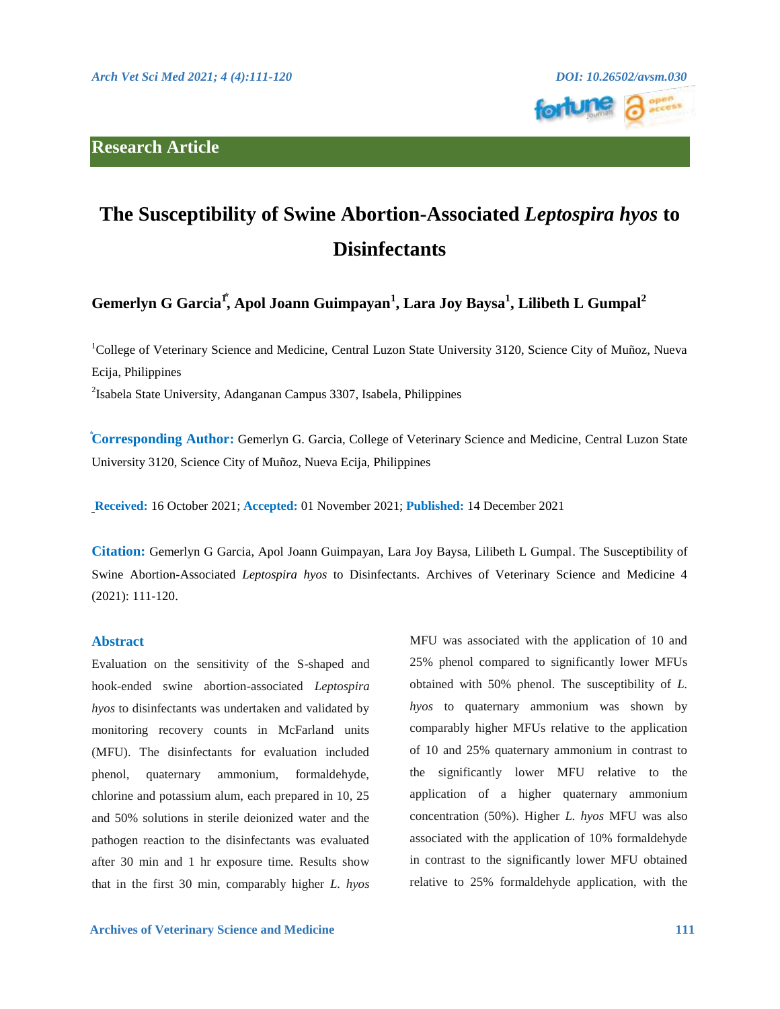# **Research Article**



# **The Susceptibility of Swine Abortion-Associated** *Leptospira hyos* **to Disinfectants**

**Gemerlyn G Garcia1⃰ , Apol Joann Guimpayan<sup>1</sup> , Lara Joy Baysa<sup>1</sup> , Lilibeth L Gumpal<sup>2</sup>**

<sup>1</sup>College of Veterinary Science and Medicine, Central Luzon State University 3120, Science City of Muñoz, Nueva Ecija, Philippines

2 Isabela State University, Adanganan Campus 3307, Isabela, Philippines

**⃰Corresponding Author:** Gemerlyn G. Garcia, College of Veterinary Science and Medicine, Central Luzon State University 3120, Science City of Muñoz, Nueva Ecija, Philippines

**Received:** 16 October 2021; **Accepted:** 01 November 2021; **Published:** 14 December 2021

**Citation:** Gemerlyn G Garcia, Apol Joann Guimpayan, Lara Joy Baysa, Lilibeth L Gumpal. The Susceptibility of Swine Abortion-Associated *Leptospira hyos* to Disinfectants. Archives of Veterinary Science and Medicine 4 (2021): 111-120.

#### **Abstract**

Evaluation on the sensitivity of the S-shaped and hook-ended swine abortion-associated *Leptospira hyos* to disinfectants was undertaken and validated by monitoring recovery counts in McFarland units (MFU). The disinfectants for evaluation included phenol, quaternary ammonium, formaldehyde, chlorine and potassium alum, each prepared in 10, 25 and 50% solutions in sterile deionized water and the pathogen reaction to the disinfectants was evaluated after 30 min and 1 hr exposure time. Results show that in the first 30 min, comparably higher *L. hyos*

MFU was associated with the application of 10 and 25% phenol compared to significantly lower MFUs obtained with 50% phenol. The susceptibility of *L. hyos* to quaternary ammonium was shown by comparably higher MFUs relative to the application of 10 and 25% quaternary ammonium in contrast to the significantly lower MFU relative to the application of a higher quaternary ammonium concentration (50%). Higher *L. hyos* MFU was also associated with the application of 10% formaldehyde in contrast to the significantly lower MFU obtained relative to 25% formaldehyde application, with the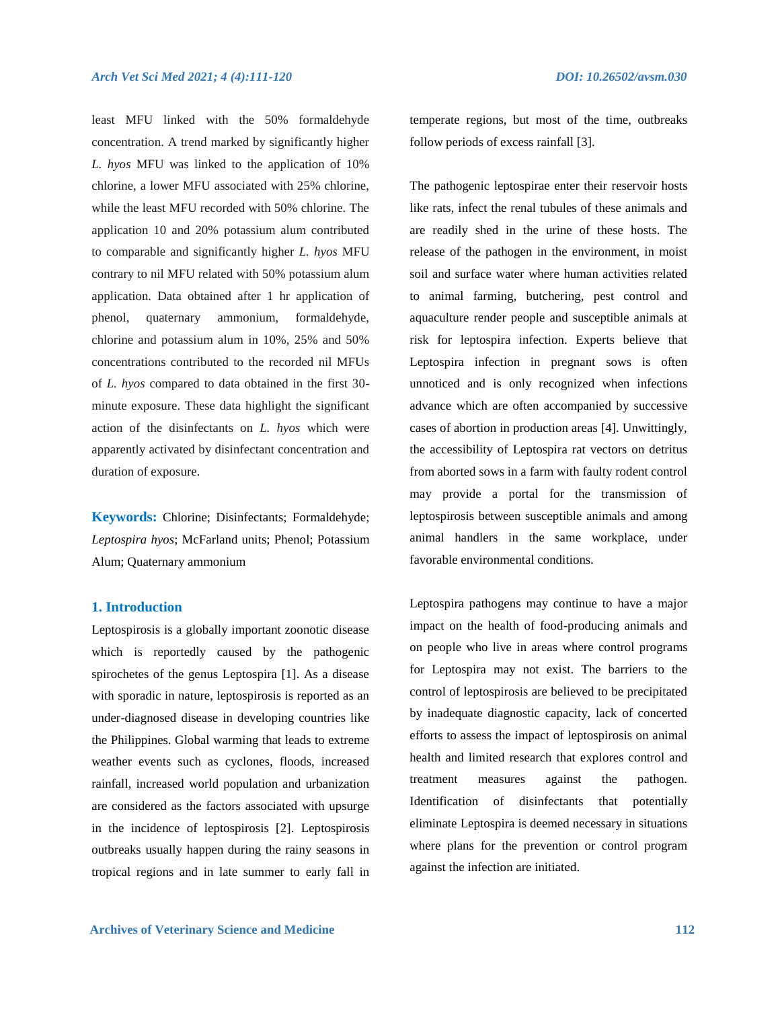least MFU linked with the 50% formaldehyde concentration. A trend marked by significantly higher *L. hyos* MFU was linked to the application of 10% chlorine, a lower MFU associated with 25% chlorine, while the least MFU recorded with 50% chlorine. The application 10 and 20% potassium alum contributed to comparable and significantly higher *L. hyos* MFU contrary to nil MFU related with 50% potassium alum application. Data obtained after 1 hr application of phenol, quaternary ammonium, formaldehyde, chlorine and potassium alum in 10%, 25% and 50% concentrations contributed to the recorded nil MFUs of *L. hyos* compared to data obtained in the first 30 minute exposure. These data highlight the significant action of the disinfectants on *L. hyos* which were apparently activated by disinfectant concentration and duration of exposure.

**Keywords:** Chlorine; Disinfectants; Formaldehyde; *Leptospira hyos*; McFarland units; Phenol; Potassium Alum; Quaternary ammonium

## **1. Introduction**

Leptospirosis is a globally important zoonotic disease which is reportedly caused by the pathogenic spirochetes of the genus Leptospira [1]. As a disease with sporadic in nature, leptospirosis is reported as an under-diagnosed disease in developing countries like the Philippines. Global warming that leads to extreme weather events such as cyclones, floods, increased rainfall, increased world population and urbanization are considered as the factors associated with upsurge in the incidence of leptospirosis [2]. Leptospirosis outbreaks usually happen during the rainy seasons in tropical regions and in late summer to early fall in

temperate regions, but most of the time, outbreaks follow periods of excess rainfall [3].

The pathogenic leptospirae enter their reservoir hosts like rats, infect the renal tubules of these animals and are readily shed in the urine of these hosts. The release of the pathogen in the environment, in moist soil and surface water where human activities related to animal farming, butchering, pest control and aquaculture render people and susceptible animals at risk for leptospira infection. Experts believe that Leptospira infection in pregnant sows is often unnoticed and is only recognized when infections advance which are often accompanied by successive cases of abortion in production areas [4]. Unwittingly, the accessibility of Leptospira rat vectors on detritus from aborted sows in a farm with faulty rodent control may provide a portal for the transmission of leptospirosis between susceptible animals and among animal handlers in the same workplace, under favorable environmental conditions.

Leptospira pathogens may continue to have a major impact on the health of food-producing animals and on people who live in areas where control programs for Leptospira may not exist. The barriers to the control of leptospirosis are believed to be precipitated by inadequate diagnostic capacity, lack of concerted efforts to assess the impact of leptospirosis on animal health and limited research that explores control and treatment measures against the pathogen. Identification of disinfectants that potentially eliminate Leptospira is deemed necessary in situations where plans for the prevention or control program against the infection are initiated.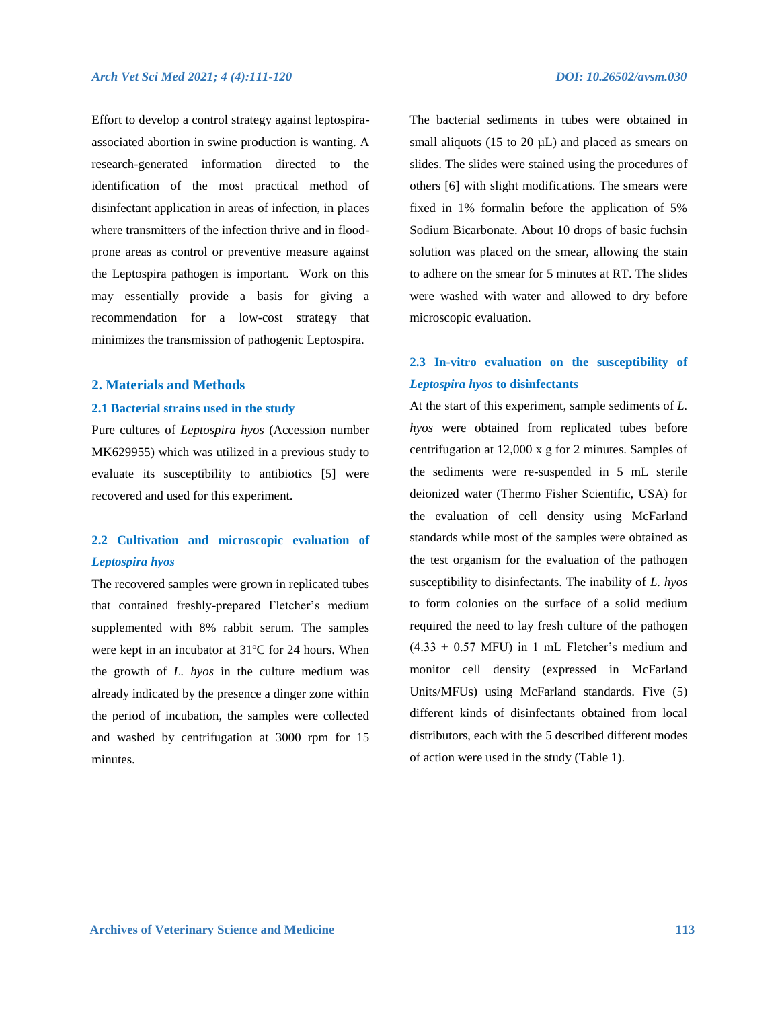Effort to develop a control strategy against leptospiraassociated abortion in swine production is wanting. A research-generated information directed to the identification of the most practical method of disinfectant application in areas of infection, in places where transmitters of the infection thrive and in floodprone areas as control or preventive measure against the Leptospira pathogen is important. Work on this may essentially provide a basis for giving a recommendation for a low-cost strategy that minimizes the transmission of pathogenic Leptospira.

# **2. Materials and Methods**

#### **2.1 Bacterial strains used in the study**

Pure cultures of *Leptospira hyos* (Accession number MK629955) which was utilized in a previous study to evaluate its susceptibility to antibiotics [5] were recovered and used for this experiment.

# **2.2 Cultivation and microscopic evaluation of**  *Leptospira hyos*

The recovered samples were grown in replicated tubes that contained freshly-prepared Fletcher's medium supplemented with 8% rabbit serum. The samples were kept in an incubator at 31ºC for 24 hours. When the growth of *L. hyos* in the culture medium was already indicated by the presence a dinger zone within the period of incubation, the samples were collected and washed by centrifugation at 3000 rpm for 15 minutes.

The bacterial sediments in tubes were obtained in small aliquots (15 to 20  $\mu$ L) and placed as smears on slides. The slides were stained using the procedures of others [6] with slight modifications. The smears were fixed in 1% formalin before the application of 5% Sodium Bicarbonate. About 10 drops of basic fuchsin solution was placed on the smear, allowing the stain to adhere on the smear for 5 minutes at RT. The slides were washed with water and allowed to dry before microscopic evaluation.

# **2.3 In-vitro evaluation on the susceptibility of**  *Leptospira hyos* **to disinfectants**

At the start of this experiment, sample sediments of *L. hyos* were obtained from replicated tubes before centrifugation at 12,000 x g for 2 minutes. Samples of the sediments were re-suspended in 5 mL sterile deionized water (Thermo Fisher Scientific, USA) for the evaluation of cell density using McFarland standards while most of the samples were obtained as the test organism for the evaluation of the pathogen susceptibility to disinfectants. The inability of *L. hyos* to form colonies on the surface of a solid medium required the need to lay fresh culture of the pathogen  $(4.33 + 0.57$  MFU) in 1 mL Fletcher's medium and monitor cell density (expressed in McFarland Units/MFUs) using McFarland standards. Five (5) different kinds of disinfectants obtained from local distributors, each with the 5 described different modes of action were used in the study (Table 1).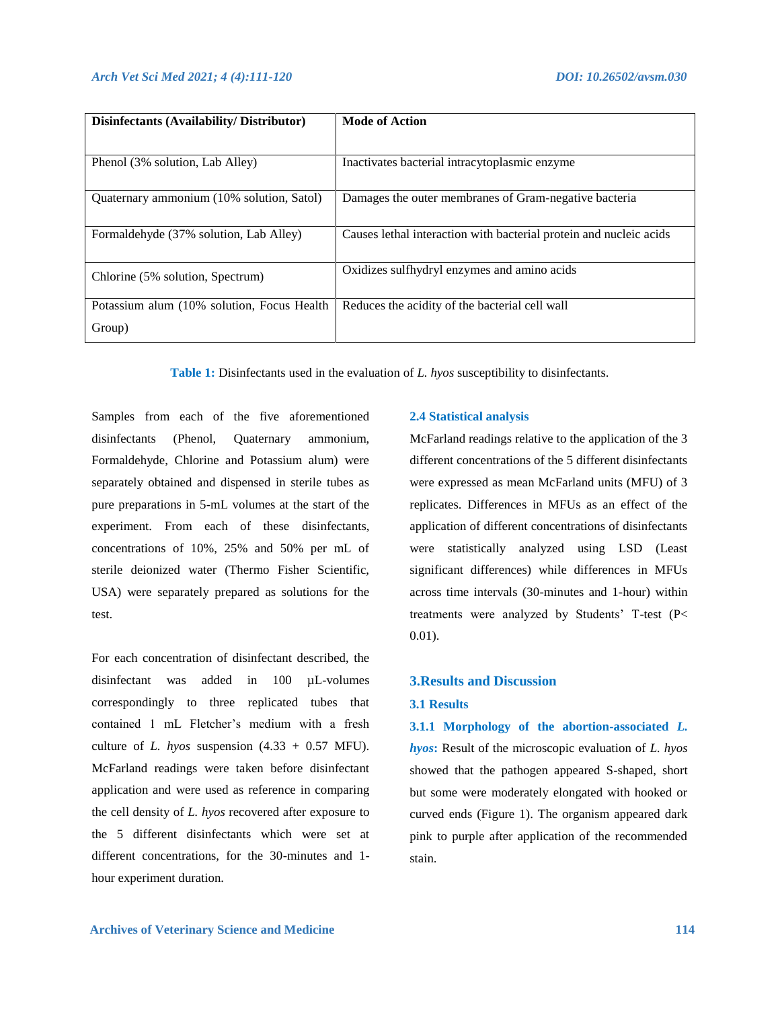| Disinfectants (Availability/Distributor)   | <b>Mode of Action</b>                                              |  |  |
|--------------------------------------------|--------------------------------------------------------------------|--|--|
|                                            |                                                                    |  |  |
| Phenol (3% solution, Lab Alley)            | Inactivates bacterial intracytoplasmic enzyme                      |  |  |
| Quaternary ammonium (10% solution, Satol)  | Damages the outer membranes of Gram-negative bacteria              |  |  |
| Formaldehyde (37% solution, Lab Alley)     | Causes lethal interaction with bacterial protein and nucleic acids |  |  |
| Chlorine (5% solution, Spectrum)           | Oxidizes sulfhydryl enzymes and amino acids                        |  |  |
| Potassium alum (10% solution, Focus Health | Reduces the acidity of the bacterial cell wall                     |  |  |
| Group)                                     |                                                                    |  |  |

**Table 1:** Disinfectants used in the evaluation of *L. hyos* susceptibility to disinfectants.

Samples from each of the five aforementioned disinfectants (Phenol, Quaternary ammonium, Formaldehyde, Chlorine and Potassium alum) were separately obtained and dispensed in sterile tubes as pure preparations in 5-mL volumes at the start of the experiment. From each of these disinfectants, concentrations of 10%, 25% and 50% per mL of sterile deionized water (Thermo Fisher Scientific, USA) were separately prepared as solutions for the test.

For each concentration of disinfectant described, the disinfectant was added in 100 µL-volumes correspondingly to three replicated tubes that contained 1 mL Fletcher's medium with a fresh culture of *L. hyos* suspension  $(4.33 + 0.57 \text{ MFU})$ . McFarland readings were taken before disinfectant application and were used as reference in comparing the cell density of *L. hyos* recovered after exposure to the 5 different disinfectants which were set at different concentrations, for the 30-minutes and 1 hour experiment duration.

#### **2.4 Statistical analysis**

McFarland readings relative to the application of the 3 different concentrations of the 5 different disinfectants were expressed as mean McFarland units (MFU) of 3 replicates. Differences in MFUs as an effect of the application of different concentrations of disinfectants were statistically analyzed using LSD (Least significant differences) while differences in MFUs across time intervals (30-minutes and 1-hour) within treatments were analyzed by Students' T-test (P< 0.01).

# **3.Results and Discussion**

#### **3.1 Results**

**3.1.1 Morphology of the abortion-associated** *L. hyos***:** Result of the microscopic evaluation of *L. hyos* showed that the pathogen appeared S-shaped, short but some were moderately elongated with hooked or curved ends (Figure 1). The organism appeared dark pink to purple after application of the recommended stain.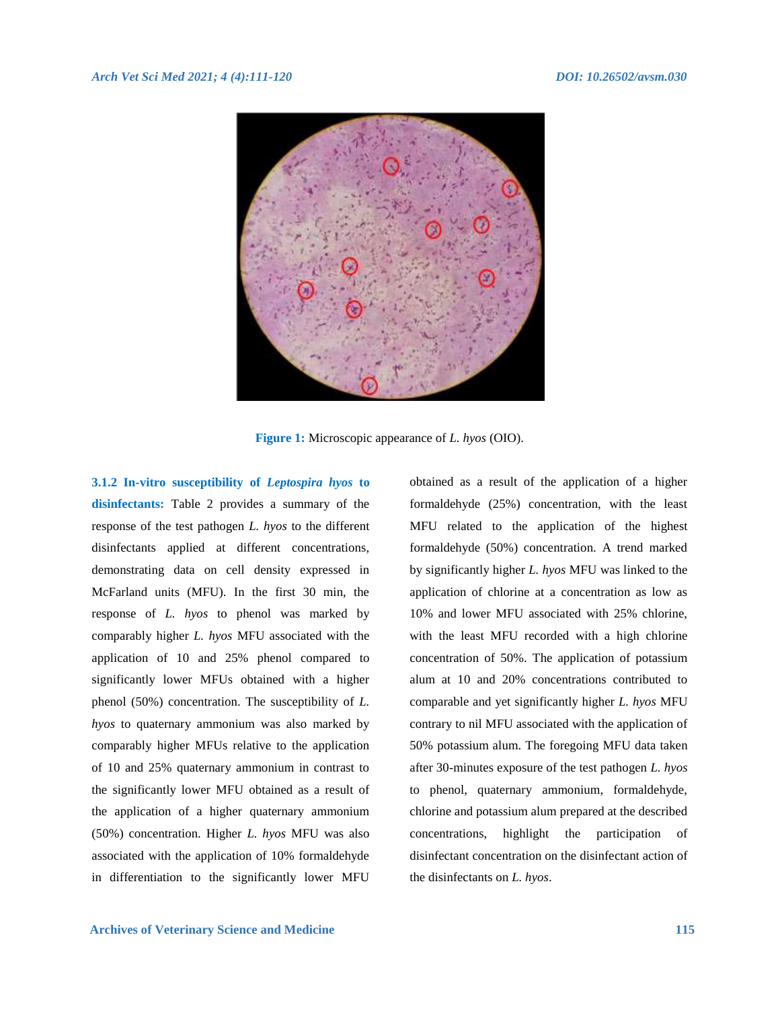

**Figure 1:** Microscopic appearance of *L. hyos* (OIO).

**3.1.2 In-vitro susceptibility of** *Leptospira hyos* **to disinfectants:** Table 2 provides a summary of the response of the test pathogen *L. hyos* to the different disinfectants applied at different concentrations, demonstrating data on cell density expressed in McFarland units (MFU). In the first 30 min, the response of *L. hyos* to phenol was marked by comparably higher *L. hyos* MFU associated with the application of 10 and 25% phenol compared to significantly lower MFUs obtained with a higher phenol (50%) concentration. The susceptibility of *L. hyos* to quaternary ammonium was also marked by comparably higher MFUs relative to the application of 10 and 25% quaternary ammonium in contrast to the significantly lower MFU obtained as a result of the application of a higher quaternary ammonium (50%) concentration. Higher *L. hyos* MFU was also associated with the application of 10% formaldehyde in differentiation to the significantly lower MFU

obtained as a result of the application of a higher formaldehyde (25%) concentration, with the least MFU related to the application of the highest formaldehyde (50%) concentration. A trend marked by significantly higher *L. hyos* MFU was linked to the application of chlorine at a concentration as low as 10% and lower MFU associated with 25% chlorine, with the least MFU recorded with a high chlorine concentration of 50%. The application of potassium alum at 10 and 20% concentrations contributed to comparable and yet significantly higher *L. hyos* MFU contrary to nil MFU associated with the application of 50% potassium alum. The foregoing MFU data taken after 30-minutes exposure of the test pathogen *L. hyos* to phenol, quaternary ammonium, formaldehyde, chlorine and potassium alum prepared at the described concentrations, highlight the participation of disinfectant concentration on the disinfectant action of the disinfectants on *L. hyos*.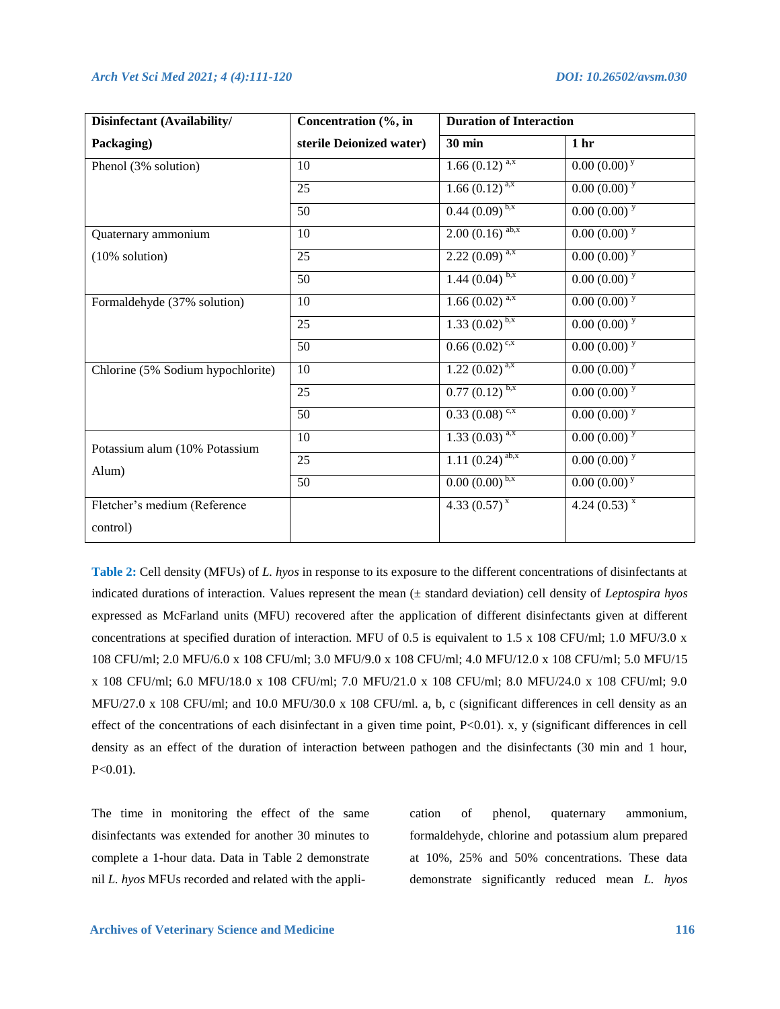| Disinfectant (Availability/            | Concentration (%, in     | <b>Duration of Interaction</b> |                  |
|----------------------------------------|--------------------------|--------------------------------|------------------|
| Packaging)                             | sterile Deionized water) | <b>30 min</b>                  | 1 <sub>hr</sub>  |
| Phenol (3% solution)                   | 10                       | $1.66 \overline{(0.12)^{a,x}}$ | $0.00(0.00)^{y}$ |
|                                        | 25                       | $1.66(0.12)^{a,x}$             | $0.00(0.00)^y$   |
|                                        | 50                       | $0.44(0.09)^{b,x}$             | $0.00(0.00)^{y}$ |
| Quaternary ammonium                    | 10                       | $2.00(0.16)$ <sup>ab,x</sup>   | $0.00(0.00)^y$   |
| (10% solution)                         | 25                       | $2.22(0.09)^{a,x}$             | $0.00(0.00)^y$   |
|                                        | 50                       | $1.44(0.04)^{b,x}$             | $0.00(0.00)^{y}$ |
| Formaldehyde (37% solution)            | 10                       | $1.66(0.02)^{a,x}$             | $0.00(0.00)^{y}$ |
|                                        | 25                       | $1.33(0.02)^{b,x}$             | $0.00(0.00)^{y}$ |
|                                        | 50                       | $0.66(0.02)^{c,x}$             | $0.00(0.00)^{y}$ |
| Chlorine (5% Sodium hypochlorite)      | 10                       | $1.22(0.02)^{a,x}$             | $0.00(0.00)^{y}$ |
|                                        | 25                       | $0.77(0.12)^{b,x}$             | $0.00(0.00)^y$   |
|                                        | 50                       | $0.33(0.08)^{c,x}$             | $0.00(0.00)^{y}$ |
| Potassium alum (10% Potassium<br>Alum) | 10                       | $1.33(0.03)^{a,x}$             | $0.00(0.00)^{y}$ |
|                                        | 25                       | $1.11(0.24)$ <sup>ab,x</sup>   | $0.00(0.00)^{y}$ |
|                                        | 50                       | $0.00(0.00)^{b,x}$             | $0.00(0.00)^{y}$ |
| Fletcher's medium (Reference           |                          | $4.33(0.57)^{x}$               | $4.24(0.53)^{x}$ |
| control)                               |                          |                                |                  |

**Table 2:** Cell density (MFUs) of *L. hyos* in response to its exposure to the different concentrations of disinfectants at indicated durations of interaction. Values represent the mean (± standard deviation) cell density of *Leptospira hyos* expressed as McFarland units (MFU) recovered after the application of different disinfectants given at different concentrations at specified duration of interaction. MFU of 0.5 is equivalent to 1.5 x 108 CFU/ml; 1.0 MFU/3.0 x 108 CFU/ml; 2.0 MFU/6.0 x 108 CFU/ml; 3.0 MFU/9.0 x 108 CFU/ml; 4.0 MFU/12.0 x 108 CFU/ml; 5.0 MFU/15 x 108 CFU/ml; 6.0 MFU/18.0 x 108 CFU/ml; 7.0 MFU/21.0 x 108 CFU/ml; 8.0 MFU/24.0 x 108 CFU/ml; 9.0 MFU/27.0 x 108 CFU/ml; and 10.0 MFU/30.0 x 108 CFU/ml. a, b, c (significant differences in cell density as an effect of the concentrations of each disinfectant in a given time point, P<0.01). x, y (significant differences in cell density as an effect of the duration of interaction between pathogen and the disinfectants (30 min and 1 hour,  $P<0.01$ ).

The time in monitoring the effect of the same disinfectants was extended for another 30 minutes to complete a 1-hour data. Data in Table 2 demonstrate nil *L. hyos* MFUs recorded and related with the application of phenol, quaternary ammonium, formaldehyde, chlorine and potassium alum prepared at 10%, 25% and 50% concentrations. These data demonstrate significantly reduced mean *L. hyos*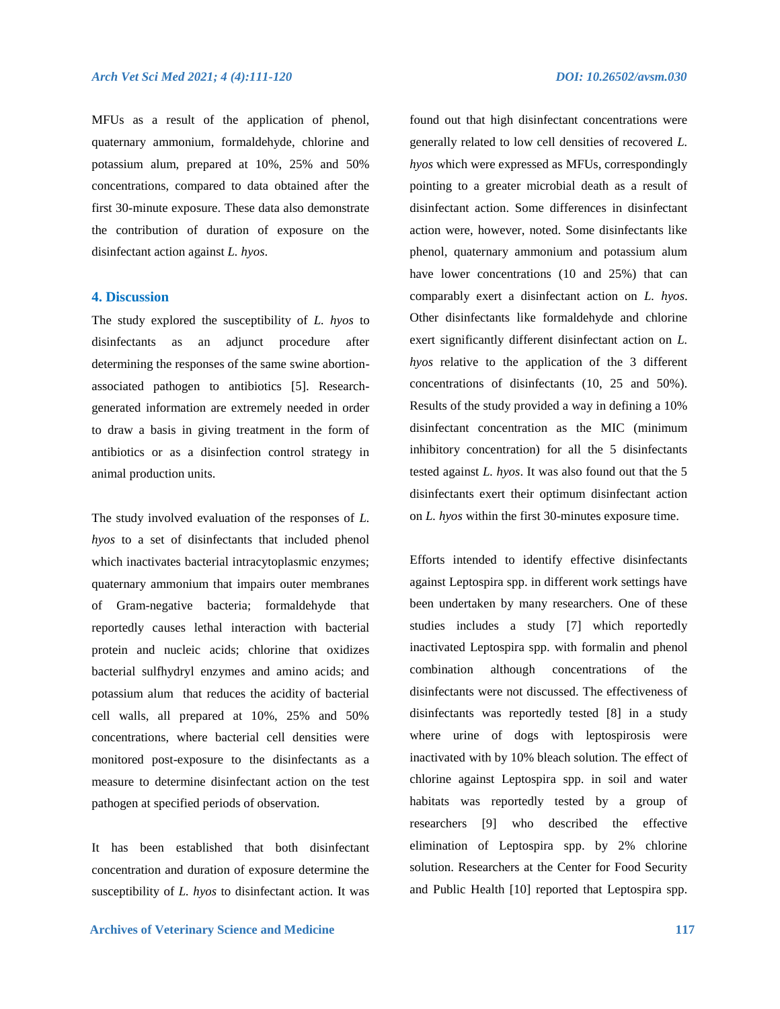MFUs as a result of the application of phenol, quaternary ammonium, formaldehyde, chlorine and potassium alum, prepared at 10%, 25% and 50% concentrations, compared to data obtained after the first 30-minute exposure. These data also demonstrate the contribution of duration of exposure on the disinfectant action against *L. hyos*.

## **4. Discussion**

The study explored the susceptibility of *L. hyos* to disinfectants as an adjunct procedure after determining the responses of the same swine abortionassociated pathogen to antibiotics [5]. Researchgenerated information are extremely needed in order to draw a basis in giving treatment in the form of antibiotics or as a disinfection control strategy in animal production units.

The study involved evaluation of the responses of *L. hyos* to a set of disinfectants that included phenol which inactivates bacterial intracytoplasmic enzymes; quaternary ammonium that impairs outer membranes of Gram-negative bacteria; formaldehyde that reportedly causes lethal interaction with bacterial protein and nucleic acids; chlorine that oxidizes bacterial sulfhydryl enzymes and amino acids; and potassium alum that reduces the acidity of bacterial cell walls, all prepared at 10%, 25% and 50% concentrations, where bacterial cell densities were monitored post-exposure to the disinfectants as a measure to determine disinfectant action on the test pathogen at specified periods of observation.

It has been established that both disinfectant concentration and duration of exposure determine the susceptibility of *L. hyos* to disinfectant action. It was

found out that high disinfectant concentrations were generally related to low cell densities of recovered *L. hyos* which were expressed as MFUs, correspondingly pointing to a greater microbial death as a result of disinfectant action. Some differences in disinfectant action were, however, noted. Some disinfectants like phenol, quaternary ammonium and potassium alum have lower concentrations (10 and 25%) that can comparably exert a disinfectant action on *L. hyos*. Other disinfectants like formaldehyde and chlorine exert significantly different disinfectant action on *L. hyos* relative to the application of the 3 different concentrations of disinfectants (10, 25 and 50%). Results of the study provided a way in defining a 10% disinfectant concentration as the MIC (minimum inhibitory concentration) for all the 5 disinfectants tested against *L. hyos*. It was also found out that the 5 disinfectants exert their optimum disinfectant action

Efforts intended to identify effective disinfectants against Leptospira spp. in different work settings have been undertaken by many researchers. One of these studies includes a study [7] which reportedly inactivated Leptospira spp. with formalin and phenol combination although concentrations of the disinfectants were not discussed. The effectiveness of disinfectants was reportedly tested [8] in a study where urine of dogs with leptospirosis were inactivated with by 10% bleach solution. The effect of chlorine against Leptospira spp. in soil and water habitats was reportedly tested by a group of researchers [9] who described the effective elimination of Leptospira spp. by 2% chlorine solution. Researchers at the Center for Food Security and Public Health [10] reported that Leptospira spp.

on *L. hyos* within the first 30-minutes exposure time.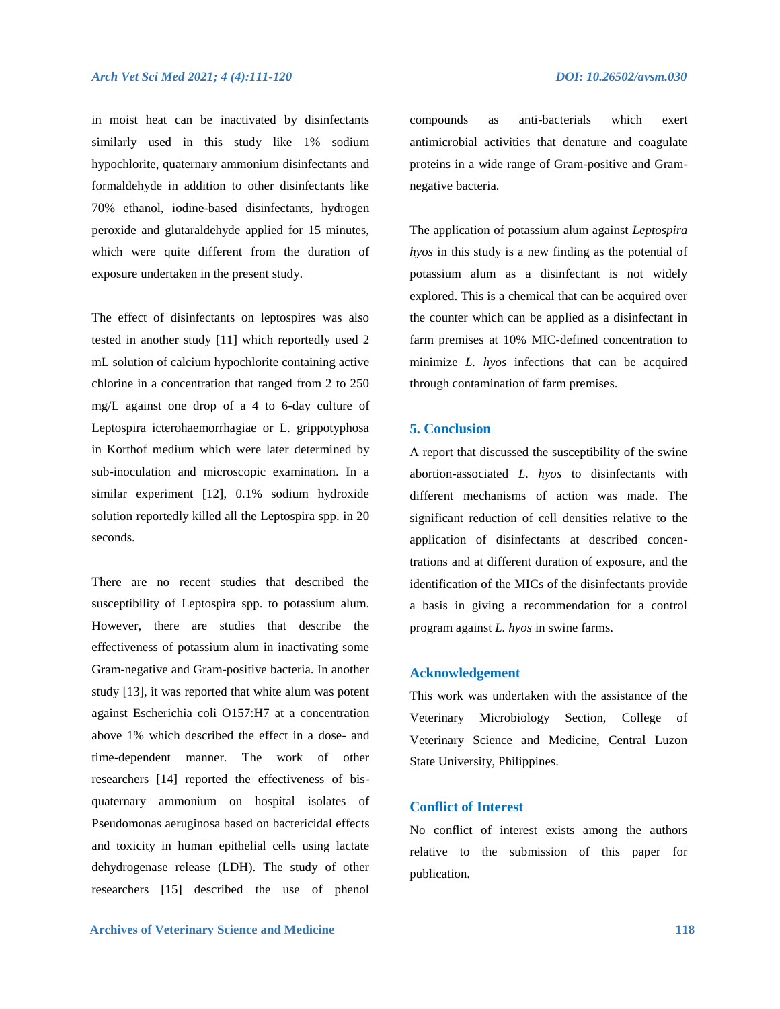in moist heat can be inactivated by disinfectants similarly used in this study like 1% sodium hypochlorite, quaternary ammonium disinfectants and formaldehyde in addition to other disinfectants like 70% ethanol, iodine-based disinfectants, hydrogen peroxide and glutaraldehyde applied for 15 minutes, which were quite different from the duration of exposure undertaken in the present study.

The effect of disinfectants on leptospires was also tested in another study [11] which reportedly used 2 mL solution of calcium hypochlorite containing active chlorine in a concentration that ranged from 2 to 250 mg/L against one drop of a 4 to 6-day culture of Leptospira icterohaemorrhagiae or L. grippotyphosa in Korthof medium which were later determined by sub-inoculation and microscopic examination. In a similar experiment [12], 0.1% sodium hydroxide solution reportedly killed all the Leptospira spp. in 20 seconds.

There are no recent studies that described the susceptibility of Leptospira spp. to potassium alum. However, there are studies that describe the effectiveness of potassium alum in inactivating some Gram-negative and Gram-positive bacteria. In another study [13], it was reported that white alum was potent against Escherichia coli O157:H7 at a concentration above 1% which described the effect in a dose- and time-dependent manner. The work of other researchers [14] reported the effectiveness of bisquaternary ammonium on hospital isolates of Pseudomonas aeruginosa based on bactericidal effects and toxicity in human epithelial cells using lactate dehydrogenase release (LDH). The study of other researchers [15] described the use of phenol

compounds as anti-bacterials which exert antimicrobial activities that denature and coagulate proteins in a wide range of Gram-positive and Gramnegative bacteria.

The application of potassium alum against *Leptospira hyos* in this study is a new finding as the potential of potassium alum as a disinfectant is not widely explored. This is a chemical that can be acquired over the counter which can be applied as a disinfectant in farm premises at 10% MIC-defined concentration to minimize *L. hyos* infections that can be acquired through contamination of farm premises.

#### **5. Conclusion**

A report that discussed the susceptibility of the swine abortion-associated *L. hyos* to disinfectants with different mechanisms of action was made. The significant reduction of cell densities relative to the application of disinfectants at described concentrations and at different duration of exposure, and the identification of the MICs of the disinfectants provide a basis in giving a recommendation for a control program against *L. hyos* in swine farms.

### **Acknowledgement**

This work was undertaken with the assistance of the Veterinary Microbiology Section, College of Veterinary Science and Medicine, Central Luzon State University, Philippines.

# **Conflict of Interest**

No conflict of interest exists among the authors relative to the submission of this paper for publication.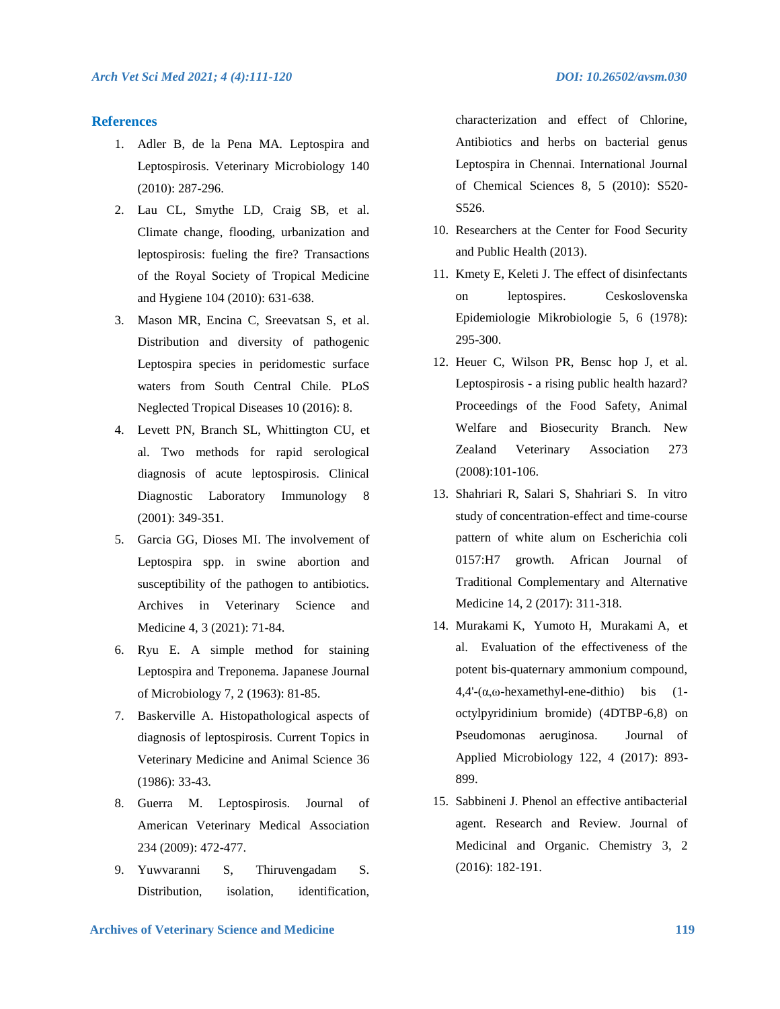### **References**

- 1. Adler B, de la Pena MA. Leptospira and Leptospirosis. Veterinary Microbiology 140 (2010): 287-296.
- 2. Lau CL, Smythe LD, Craig SB, et al. Climate change, flooding, urbanization and leptospirosis: fueling the fire? Transactions of the Royal Society of Tropical Medicine and Hygiene 104 (2010): 631-638.
- 3. Mason MR, Encina C, Sreevatsan S, et al. Distribution and diversity of pathogenic Leptospira species in peridomestic surface waters from South Central Chile. PLoS Neglected Tropical Diseases 10 (2016): 8.
- 4. Levett PN, Branch SL, Whittington CU, et al. Two methods for rapid serological diagnosis of acute leptospirosis. Clinical Diagnostic Laboratory Immunology 8 (2001): 349-351.
- 5. Garcia GG, Dioses MI. The involvement of Leptospira spp. in swine abortion and susceptibility of the pathogen to antibiotics. Archives in Veterinary Science and Medicine 4, 3 (2021): 71-84.
- 6. Ryu E. A simple method for staining Leptospira and Treponema. Japanese Journal of Microbiology 7, 2 (1963): 81-85.
- 7. Baskerville A. Histopathological aspects of diagnosis of leptospirosis. Current Topics in Veterinary Medicine and Animal Science 36 (1986): 33-43.
- 8. Guerra M. Leptospirosis. Journal of American Veterinary Medical Association 234 (2009): 472-477.
- 9. Yuwvaranni S, Thiruvengadam S. Distribution, isolation, identification,

characterization and effect of Chlorine, Antibiotics and herbs on bacterial genus Leptospira in Chennai. International Journal of Chemical Sciences 8, 5 (2010): S520- S526.

- 10. Researchers at the Center for Food Security and Public Health (2013).
- 11. Kmety E, Keleti J. The effect of disinfectants on leptospires. Ceskoslovenska Epidemiologie Mikrobiologie 5, 6 (1978): 295-300.
- 12. Heuer C, Wilson PR, Bensc hop J, et al. Leptospirosis - a rising public health hazard? Proceedings of the Food Safety, Animal Welfare and Biosecurity Branch. New Zealand Veterinary Association 273 (2008):101-106.
- 13. Shahriari R, Salari S, Shahriari S. In vitro study of concentration-effect and time-course pattern of white alum on Escherichia coli 0157:H7 growth. African Journal of Traditional Complementary and Alternative Medicine 14, 2 (2017): 311-318.
- 14. Murakami K, Yumoto H, Murakami A, et al. Evaluation of the effectiveness of the potent bis-quaternary ammonium compound,  $4,4'$ - $(\alpha,\omega$ -hexamethyl-ene-dithio) bis (1octylpyridinium bromide) (4DTBP-6,8) on Pseudomonas aeruginosa. Journal of Applied Microbiology 122, 4 (2017): 893- 899.
- 15. Sabbineni J. Phenol an effective antibacterial agent. Research and Review. Journal of Medicinal and Organic. Chemistry 3, 2 (2016): 182-191.